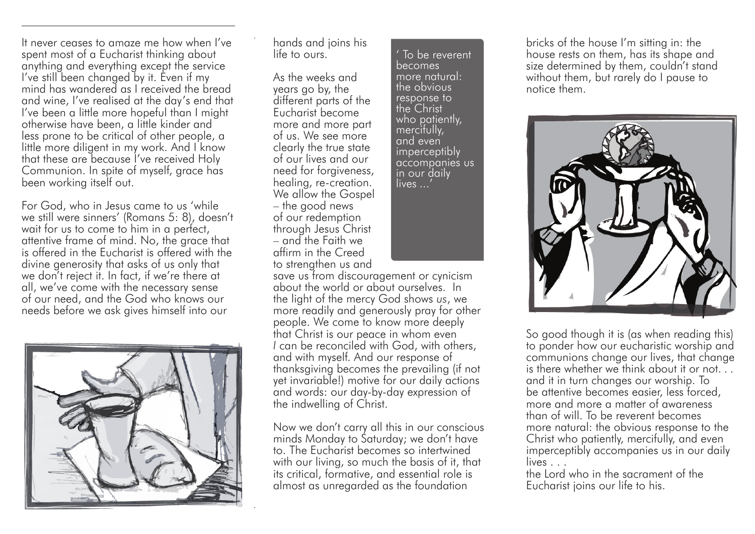It never ceases to amaze me how when I've spent most of a Eucharist thinking about anything and everything except the service I've still been changed by it. Even if my mind has wandered as I received the bread and wine, I've realised at the day's end that I've been a little more hopeful than I might otherwise have been, a little kinder and less prone to be critical of other people, a little more diligent in my work. And I know that these are because I've received Holy Communion. In spite of myself, grace has been working itself out.

For God, who in Jesus came to us 'while we still were sinners' (Romans 5: 8), doesn't wait for us to come to him in a perfect, attentive frame of mind. No, the grace that is offered in the Eucharist is offered with the divine generosity that asks of us only that we don't reject it. In fact, if we're there at all, we've come with the necessary sense of our need, and the God who knows our needs before we ask gives himself into our



hands and joins his life to ours.

As the weeks and years go by, the different parts of the Eucharist become more and more part of us. We see more clearly the true state of our lives and our need for forgiveness, healing, re-creation. We allow the Gospel – the good news of our redemption through Jesus Christ – and the Faith we affirm in the Creed to strengthen us and

' To be reverent becomes more natural: the obvious response to the Christ who patiently, mercifully, and even imperceptibly accompanies us in our daily lives ...'

save us from discouragement or cynicism about the world or about ourselves. In the light of the mercy God shows *us*, we more readily and generously pray for other people. We come to know more deeply that Christ is our peace in whom even *I* can be reconciled with God, with others, and with myself. And our response of thanksgiving becomes the prevailing (if not yet invariable!) motive for our daily actions and words: our day-by-day expression of the indwelling of Christ.

Now we don't carry all this in our conscious minds Monday to Saturday; we don't have to. The Eucharist becomes so intertwined with our living, so much the basis of it, that its critical, formative, and essential role is almost as unregarded as the foundation

bricks of the house I'm sitting in: the house rests on them, has its shape and size determined by them, couldn't stand without them, but rarely do I pause to notice them.



So good though it is (as when reading this) to ponder how our eucharistic worship and communions change our lives, that change is there whether we think about it or not. and it in turn changes our worship. To be attentive becomes easier, less forced, more and more a matter of awareness than of will. To be reverent becomes more natural: the obvious response to the Christ who patiently, mercifully, and even imperceptibly accompanies us in our daily lives . . .

the Lord who in the sacrament of the Eucharist joins our life to his.